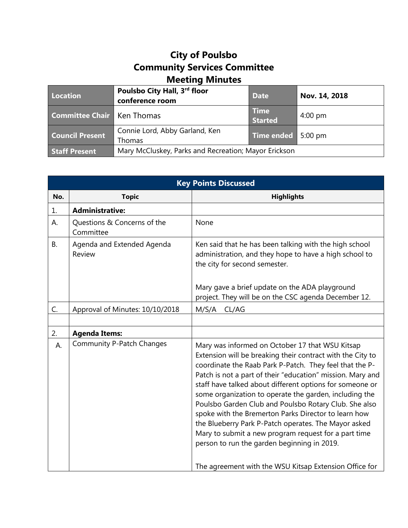## **City of Poulsbo Community Services Committee Meeting Minutes**

| Location                          | Poulsbo City Hall, 3rd floor<br>conference room      | <b>Date</b>                   | Nov. 14, 2018     |
|-----------------------------------|------------------------------------------------------|-------------------------------|-------------------|
| <b>Committee Chair Ken Thomas</b> |                                                      | <b>Time</b><br><b>Started</b> | $4:00 \text{ pm}$ |
| <b>Council Present</b>            | Connie Lord, Abby Garland, Ken<br>Thomas             | Time ended 5:00 pm            |                   |
| <b>Staff Present</b>              | Mary McCluskey, Parks and Recreation; Mayor Erickson |                               |                   |

| <b>Key Points Discussed</b> |                                          |                                                                                                                                                                                                                                                                                                                                                                                                                                                                                                                                                                                                                                              |  |
|-----------------------------|------------------------------------------|----------------------------------------------------------------------------------------------------------------------------------------------------------------------------------------------------------------------------------------------------------------------------------------------------------------------------------------------------------------------------------------------------------------------------------------------------------------------------------------------------------------------------------------------------------------------------------------------------------------------------------------------|--|
| No.                         | <b>Topic</b>                             | <b>Highlights</b>                                                                                                                                                                                                                                                                                                                                                                                                                                                                                                                                                                                                                            |  |
| 1.                          | <b>Administrative:</b>                   |                                                                                                                                                                                                                                                                                                                                                                                                                                                                                                                                                                                                                                              |  |
| А.                          | Questions & Concerns of the<br>Committee | None                                                                                                                                                                                                                                                                                                                                                                                                                                                                                                                                                                                                                                         |  |
| <b>B.</b>                   | Agenda and Extended Agenda<br>Review     | Ken said that he has been talking with the high school<br>administration, and they hope to have a high school to<br>the city for second semester.<br>Mary gave a brief update on the ADA playground<br>project. They will be on the CSC agenda December 12.                                                                                                                                                                                                                                                                                                                                                                                  |  |
| C.                          |                                          | CL/AG                                                                                                                                                                                                                                                                                                                                                                                                                                                                                                                                                                                                                                        |  |
|                             | Approval of Minutes: 10/10/2018          | M/S/A                                                                                                                                                                                                                                                                                                                                                                                                                                                                                                                                                                                                                                        |  |
| 2.                          | <b>Agenda Items:</b>                     |                                                                                                                                                                                                                                                                                                                                                                                                                                                                                                                                                                                                                                              |  |
| А.                          | <b>Community P-Patch Changes</b>         | Mary was informed on October 17 that WSU Kitsap<br>Extension will be breaking their contract with the City to<br>coordinate the Raab Park P-Patch. They feel that the P-<br>Patch is not a part of their "education" mission. Mary and<br>staff have talked about different options for someone or<br>some organization to operate the garden, including the<br>Poulsbo Garden Club and Poulsbo Rotary Club. She also<br>spoke with the Bremerton Parks Director to learn how<br>the Blueberry Park P-Patch operates. The Mayor asked<br>Mary to submit a new program request for a part time<br>person to run the garden beginning in 2019. |  |
|                             |                                          | The agreement with the WSU Kitsap Extension Office for                                                                                                                                                                                                                                                                                                                                                                                                                                                                                                                                                                                       |  |